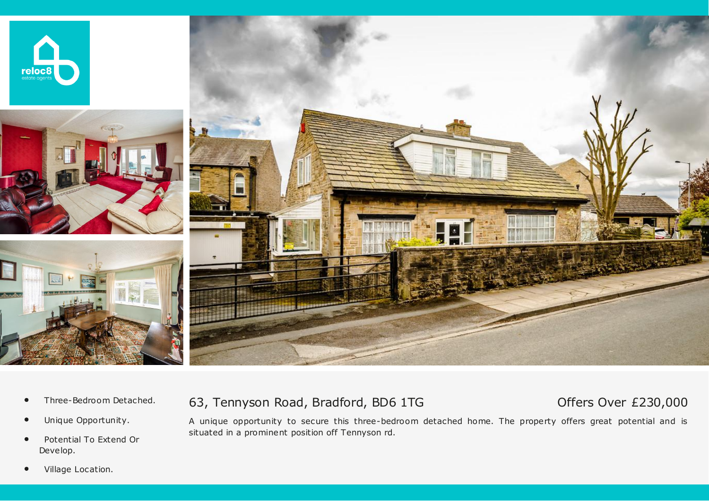







- *•* Three-Bedroom Detached.
- *•* Unique Opportunity.
- *•* Potential To Extend Or Develop.

## 63, Tennyson Road, Bradford, BD6 1TG

# Offers Over £230,000

A unique opportunity to secure this three-bedroom detached home. The property offers great potential and is situated in a prominent position off Tennyson rd.

*•* Village Location.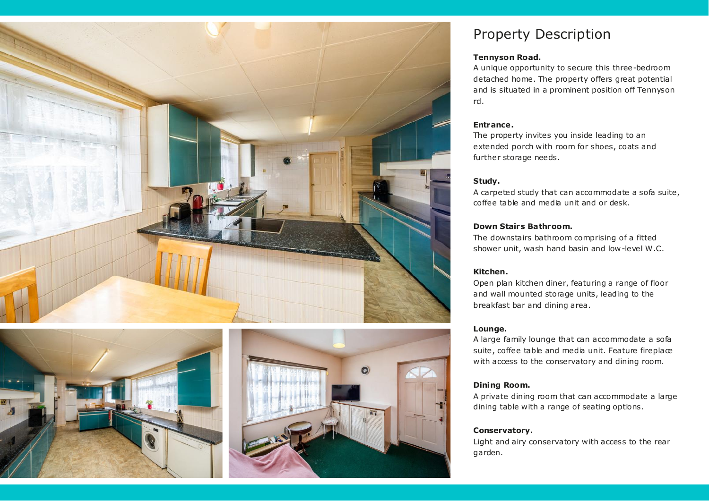





# Property Description

### **Tennyson Road.**

A unique opportunity to secure this three-bedroom detached home. The property offers great potential and is situated in a prominent position off Tennyson rd.

## **Entrance.**

The property invites you inside leading to an extended porch with room for shoes, coats and further storage needs.

## **Study.**

A carpeted study that can accommodate a sofa suite, coffee table and media unit and or desk.

## **Down Stairs Bathroom.**

The downstairs bathroom comprising of a fitted shower unit, wash hand basin and low-level W .C.

## **Kitchen.**

Open plan kitchen diner, featuring a range of floor and wall mounted storage units, leading to the breakfast bar and dining area.

## **Lounge.**

A large family lounge that can accommodate a sofa suite, coffee table and media unit. Feature fireplace with access to the conservatory and dining room.

## **Dining Room.**

A private dining room that can accommodate a large dining table with a range of seating options.

## **Conservatory.**

Light and airy conservatory with access to the rear garden.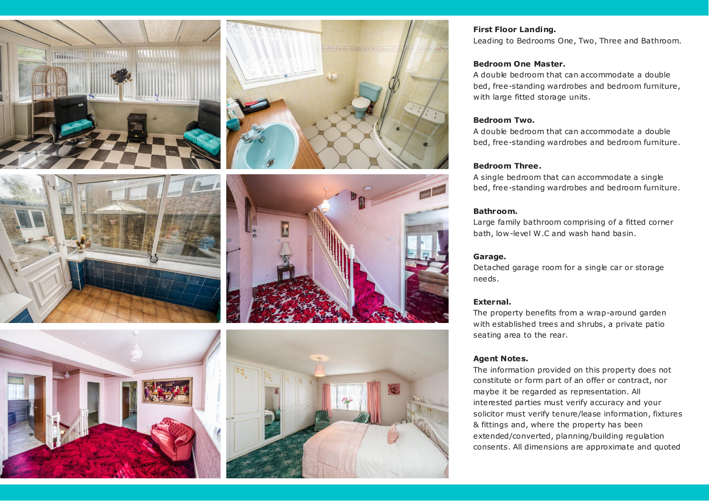









#### **First Floor Landing.**

Leading to Bedrooms One, Two, Three and Bathroom.

#### **Bedroom One Master.**

A double bedroom that can accommodate a double bed, free-standing wardrobes and bedroom furniture, with large fitted storage units.

#### **Bedroom Two.**

A double bedroom that can accommodate a double bed, free-standing wardrobes and bedroom furniture.

#### **Bedroom Three.**

A single bedroom that can accommodate a single bed, free-standing wardrobes and bedroom furniture.

#### **Bathroom.**

Large family bathroom comprising of a fitted corner bath, low-level W .C and wash hand basin.

#### **Garage.**

Detached garage room for a single car or storage needs.

#### **External.**

The property benefits from a wrap-around garden with established trees and shrubs, a private patio seating area to the rear.

#### **Agent Notes.**

The information provided on this property does not constitute or form part of an offer or contract, nor maybe it be regarded as representation. All interested parties must verify accuracy and your solicitor must verify tenure/lease information, fixtures & fittings and, where the property has been extended/converted, planning/building regulation consents. All dimensions are approximate and quoted